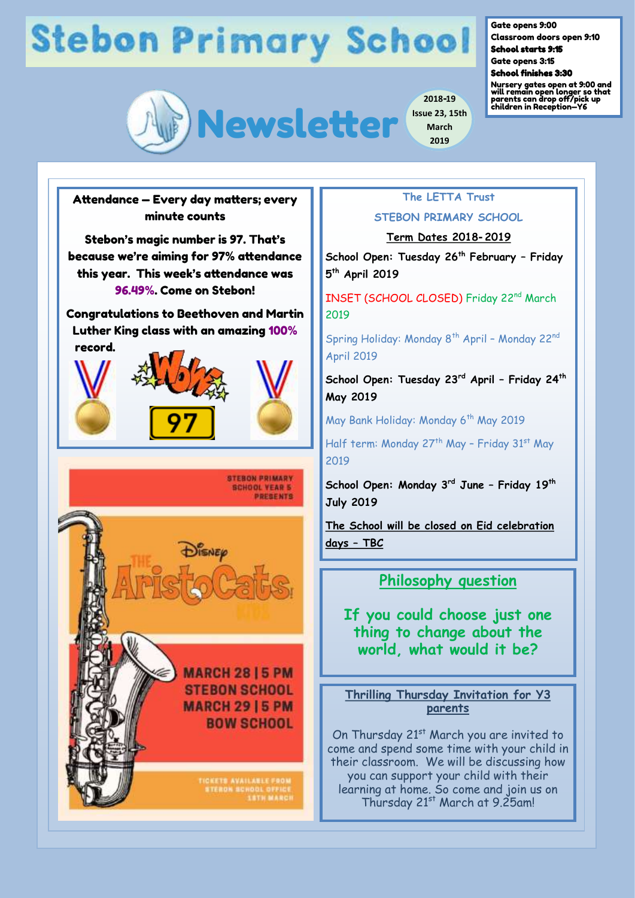# **Stebon Primary School**



Gate opens 9:00

Classroom doors open 9:10 School starts 9:15

Gate opens 3:15

School finishes 3:30

Nursery gates open at 9:00 and will remain open longer so that parents can drop off/pick up children in Reception—Y6

Attendance — Every day matters; every minute counts

Stebon's magic number is 97. That's because we're aiming for 97% attendance this year. This week's attendance was 96.49%. Come on Stebon!

Congratulations to Beethoven and Martin Luther King class with an amazing 100% record.







**MARCH 2815 PM STEBON SCHOOL MARCH 29 | 5 PM BOW SCHOOL** 

TICKETS AVAILABLE FOOM<br>STEROK SCHOOL OFFICE<br>LITH MARCI

## **The LETTA Trust**

**March 2019**

### **STEBON PRIMARY SCHOOL**

#### **Term Dates 2018-2019**

**School Open: Tuesday 26th February – Friday 5 th April 2019**

INSET (SCHOOL CLOSED) Friday 22nd March 2019

Spring Holiday: Monday 8<sup>th</sup> April - Monday 22<sup>nd</sup> April 2019

**School Open: Tuesday 23rd April – Friday 24th May 2019**

May Bank Holiday: Monday 6<sup>th</sup> May 2019

Half term: Monday 27<sup>th</sup> May - Friday 31<sup>st</sup> May 2019

**School Open: Monday 3rd June – Friday 19th July 2019**

**The School will be closed on Eid celebration days – TBC** 

### **Philosophy question**

**If you could choose just one thing to change about the world, what would it be?**

**Thrilling Thursday Invitation for Y3 parents** 

On Thursday 21<sup>st</sup> March you are invited to come and spend some time with your child in their classroom. We will be discussing how you can support your child with their learning at home. So come and join us on Thursday 21<sup>st</sup> March at 9.25am!